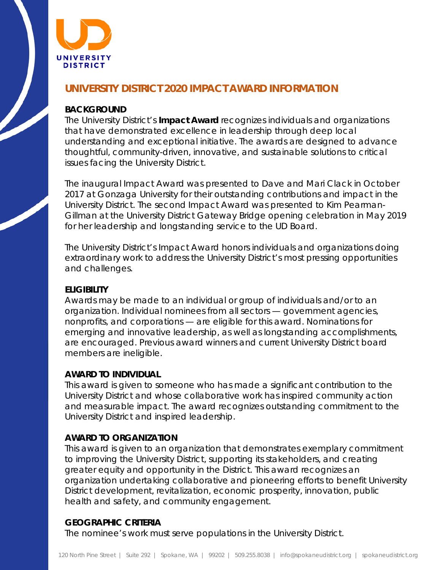

# **UNIVERSITY DISTRICT 2020 IMPACT AWARD INFORMATION**

### **BACKGROUND**

The University District's **Impact Award** recognizes individuals and organizations that have demonstrated excellence in leadership through deep local understanding and exceptional initiative. The awards are designed to advance thoughtful, community-driven, innovative, and sustainable solutions to critical issues facing the University District.

The inaugural Impact Award was presented to Dave and Mari Clack in October 2017 at Gonzaga University for their outstanding contributions and impact in the University District. The second Impact Award was presented to Kim Pearman-Gillman at the University District Gateway Bridge opening celebration in May 2019 for her leadership and longstanding service to the UD Board.

The University District's Impact Award honors individuals and organizations doing extraordinary work to address the University District's most pressing opportunities and challenges.

### **ELIGIBILITY**

Awards may be made to an individual or group of individuals and/or to an organization. Individual nominees from all sectors — government agencies, nonprofits, and corporations — are eligible for this award. Nominations for emerging and innovative leadership, as well as longstanding accomplishments, are encouraged. Previous award winners and current University District board members are ineligible.

#### **AWARD TO INDIVIDUAL**

This award is given to someone who has made a significant contribution to the University District and whose collaborative work has inspired community action and measurable impact. The award recognizes outstanding commitment to the University District and inspired leadership.

## **AWARD TO ORGANIZATION**

This award is given to an organization that demonstrates exemplary commitment to improving the University District, supporting its stakeholders, and creating greater equity and opportunity in the District. This award recognizes an organization undertaking collaborative and pioneering efforts to benefit University District development, revitalization, economic prosperity, innovation, public health and safety, and community engagement.

## **GEOGRAPHIC CRITERIA**

The nominee's work must serve populations in the University District.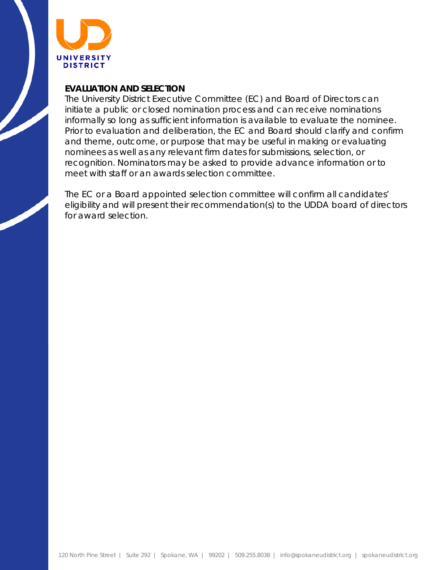

### **EVALUATION AND SELECTION**

The University District Executive Committee (EC) and Board of Directors can initiate a public or closed nomination process and can receive nominations informally so long as sufficient information is available to evaluate the nominee. Prior to evaluation and deliberation, the EC and Board should clarify and confirm and theme, outcome, or purpose that may be useful in making or evaluating nominees as well as any relevant firm dates for submissions, selection, or recognition. Nominators may be asked to provide advance information or to meet with staff or an awards selection committee.

The EC or a Board appointed selection committee will confirm all candidates' eligibility and will present their recommendation(s) to the UDDA board of directors for award selection.